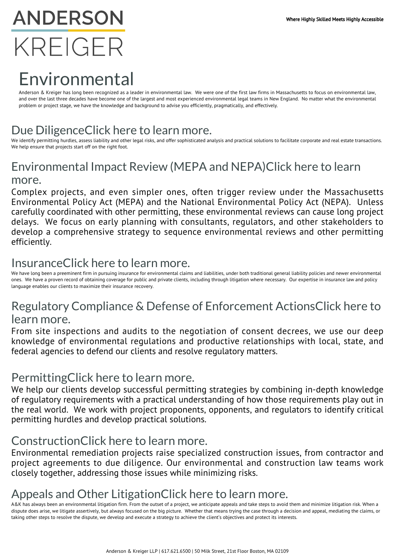# **ANDERSON** KRFIGFR

# Environmental

Anderson & Kreiger has long been recognized as a leader in environmental law. We were one of the first law firms in Massachusetts to focus on environmental law, and over the last three decades have become one of the largest and most experienced environmental legal teams in New England. No matter what the environmental problem or project stage, we have the knowledge and background to advise you efficiently, pragmatically, and effectively.

# Due DiligenceClick here to learn more.

We identify permitting hurdles, assess liability and other legal risks, and offer sophisticated analysis and practical solutions to facilitate corporate and real estate transactions. We help ensure that projects start off on the right foot.

# Environmental Impact Review (MEPA and NEPA)Click here to learn more.

Complex projects, and even simpler ones, often trigger review under the Massachusetts Environmental Policy Act (MEPA) and the National Environmental Policy Act (NEPA). Unless carefully coordinated with other permitting, these environmental reviews can cause long project delays. We focus on early planning with consultants, regulators, and other stakeholders to develop a comprehensive strategy to sequence environmental reviews and other permitting efficiently.

# InsuranceClick here to learn more.

We have long been a preeminent firm in pursuing insurance for environmental claims and liabilities, under both traditional general liability policies and newer environmental ones. We have a proven record of obtaining coverage for public and private clients, including through litigation where necessary. Our expertise in insurance law and policy language enables our clients to maximize their insurance recovery.

# Regulatory Compliance & Defense of Enforcement ActionsClick here to

#### learn more.

From site inspections and audits to the negotiation of consent decrees, we use our deep knowledge of environmental regulations and productive relationships with local, state, and federal agencies to defend our clients and resolve regulatory matters.

#### PermittingClick here to learn more.

We help our clients develop successful permitting strategies by combining in-depth knowledge of regulatory requirements with a practical understanding of how those requirements play out in the real world. We work with project proponents, opponents, and regulators to identify critical permitting hurdles and develop practical solutions.

#### ConstructionClick here to learn more.

Environmental remediation projects raise specialized construction issues, from contractor and project agreements to due diligence. Our environmental and construction law teams work closely together, addressing those issues while minimizing risks.

# Appeals and Other LitigationClick here to learn more.

A&K has always been an environmental litigation firm. From the outset of a project, we anticipate appeals and take steps to avoid them and minimize litigation risk. When a dispute does arise, we litigate assertively, but always focused on the big picture. Whether that means trying the case through a decision and appeal, mediating the claims, or taking other steps to resolve the dispute, we develop and execute a strategy to achieve the client's objectives and protect its interests.